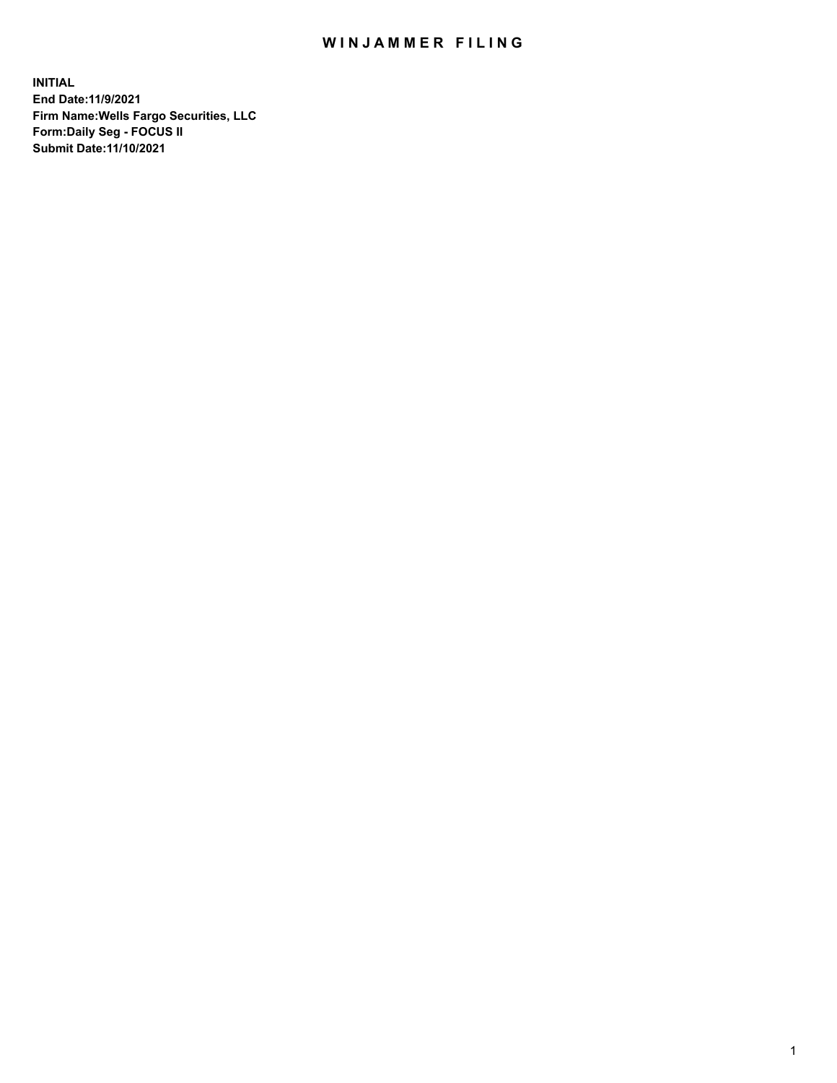## WIN JAMMER FILING

**INITIAL End Date:11/9/2021 Firm Name:Wells Fargo Securities, LLC Form:Daily Seg - FOCUS II Submit Date:11/10/2021**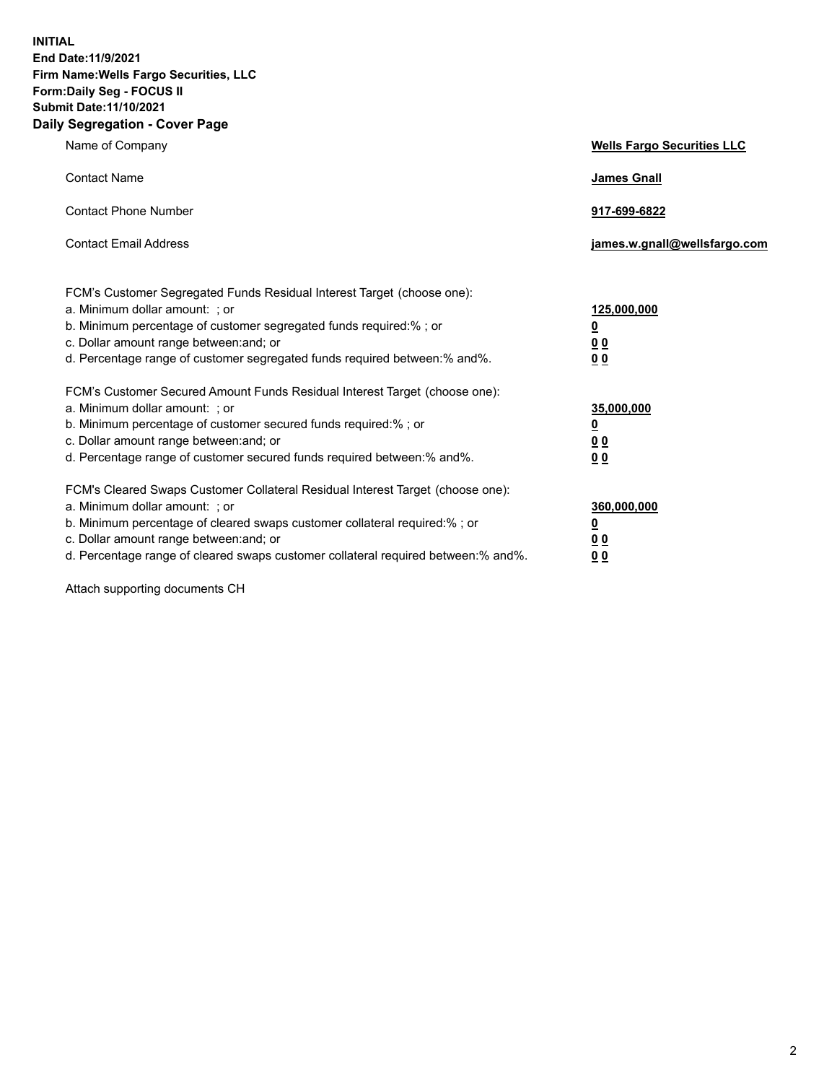**INITIAL End Date:11/9/2021 Firm Name:Wells Fargo Securities, LLC Form:Daily Seg - FOCUS II Submit Date:11/10/2021 Daily Segregation - Cover Page**

| Name of Company                                                                                                                                                                                                                                                                                                                | <b>Wells Fargo Securities LLC</b>                          |
|--------------------------------------------------------------------------------------------------------------------------------------------------------------------------------------------------------------------------------------------------------------------------------------------------------------------------------|------------------------------------------------------------|
| <b>Contact Name</b>                                                                                                                                                                                                                                                                                                            | <b>James Gnall</b>                                         |
| <b>Contact Phone Number</b>                                                                                                                                                                                                                                                                                                    | 917-699-6822                                               |
| <b>Contact Email Address</b>                                                                                                                                                                                                                                                                                                   | james.w.gnall@wellsfargo.com                               |
| FCM's Customer Segregated Funds Residual Interest Target (choose one):<br>a. Minimum dollar amount: ; or<br>b. Minimum percentage of customer segregated funds required:% ; or<br>c. Dollar amount range between: and; or<br>d. Percentage range of customer segregated funds required between:% and%.                         | 125,000,000<br><u>0</u><br>0 <sub>0</sub><br>00            |
| FCM's Customer Secured Amount Funds Residual Interest Target (choose one):<br>a. Minimum dollar amount: ; or<br>b. Minimum percentage of customer secured funds required:% ; or<br>c. Dollar amount range between: and; or<br>d. Percentage range of customer secured funds required between:% and%.                           | 35,000,000<br><u>0</u><br>0 <sub>0</sub><br>0 <sub>0</sub> |
| FCM's Cleared Swaps Customer Collateral Residual Interest Target (choose one):<br>a. Minimum dollar amount: ; or<br>b. Minimum percentage of cleared swaps customer collateral required:% ; or<br>c. Dollar amount range between: and; or<br>d. Percentage range of cleared swaps customer collateral required between:% and%. | 360,000,000<br><u>0</u><br>0 Q<br>00                       |

Attach supporting documents CH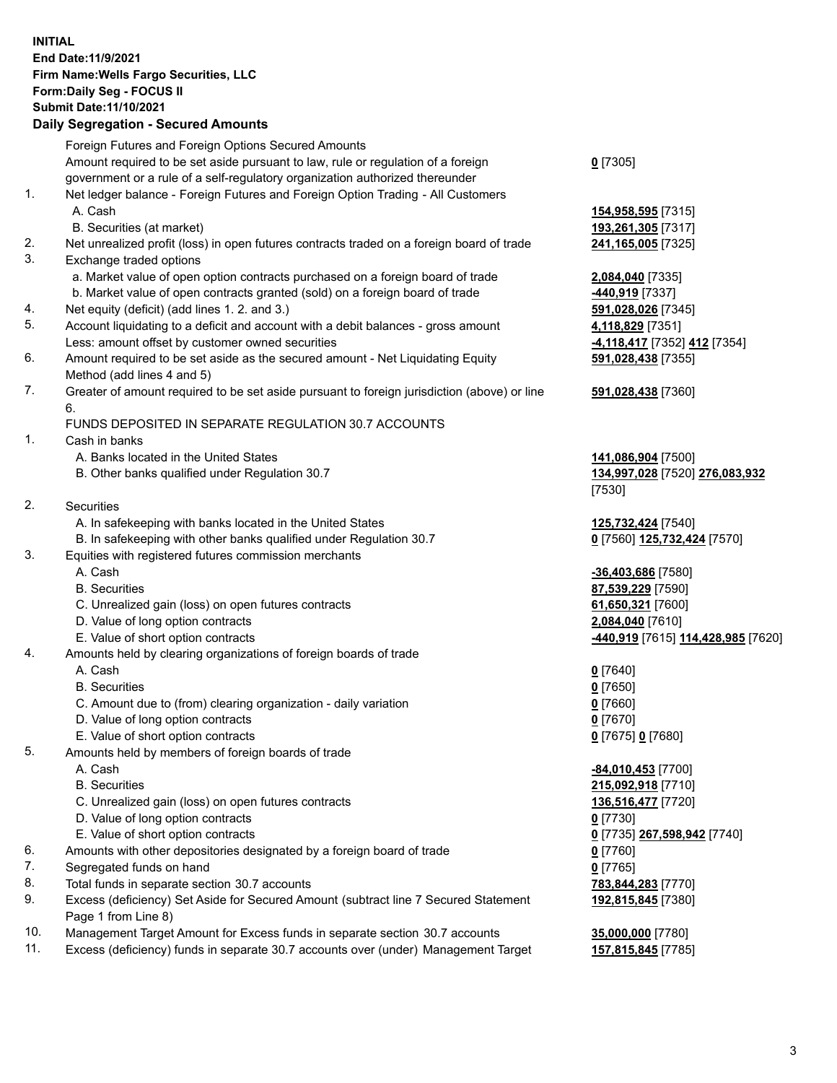**INITIAL End Date:11/9/2021 Firm Name:Wells Fargo Securities, LLC Form:Daily Seg - FOCUS II Submit Date:11/10/2021**

## **Daily Segregation - Secured Amounts**

|    | Foreign Futures and Foreign Options Secured Amounts                                         |                                    |
|----|---------------------------------------------------------------------------------------------|------------------------------------|
|    | Amount required to be set aside pursuant to law, rule or regulation of a foreign            | $0$ [7305]                         |
|    | government or a rule of a self-regulatory organization authorized thereunder                |                                    |
| 1. | Net ledger balance - Foreign Futures and Foreign Option Trading - All Customers             |                                    |
|    | A. Cash                                                                                     | 154,958,595 [7315]                 |
|    | B. Securities (at market)                                                                   | 193,261,305 [7317]                 |
| 2. | Net unrealized profit (loss) in open futures contracts traded on a foreign board of trade   | 241,165,005 [7325]                 |
| 3. | Exchange traded options                                                                     |                                    |
|    | a. Market value of open option contracts purchased on a foreign board of trade              | 2,084,040 [7335]                   |
|    | b. Market value of open contracts granted (sold) on a foreign board of trade                | -440,919 [7337]                    |
| 4. | Net equity (deficit) (add lines 1. 2. and 3.)                                               | 591,028,026 [7345]                 |
| 5. | Account liquidating to a deficit and account with a debit balances - gross amount           | 4,118,829 [7351]                   |
|    | Less: amount offset by customer owned securities                                            | -4,118,417 [7352] 412 [7354]       |
| 6. | Amount required to be set aside as the secured amount - Net Liquidating Equity              | 591,028,438 [7355]                 |
|    | Method (add lines 4 and 5)                                                                  |                                    |
| 7. | Greater of amount required to be set aside pursuant to foreign jurisdiction (above) or line | 591,028,438 [7360]                 |
|    | 6.                                                                                          |                                    |
|    | FUNDS DEPOSITED IN SEPARATE REGULATION 30.7 ACCOUNTS                                        |                                    |
| 1. | Cash in banks                                                                               |                                    |
|    | A. Banks located in the United States                                                       | 141,086,904 [7500]                 |
|    | B. Other banks qualified under Regulation 30.7                                              | 134,997,028 [7520] 276,083,932     |
|    |                                                                                             | [7530]                             |
| 2. | <b>Securities</b>                                                                           |                                    |
|    | A. In safekeeping with banks located in the United States                                   | 125,732,424 [7540]                 |
|    | B. In safekeeping with other banks qualified under Regulation 30.7                          | 0 [7560] 125,732,424 [7570]        |
| 3. | Equities with registered futures commission merchants                                       |                                    |
|    | A. Cash                                                                                     | -36,403,686 [7580]                 |
|    | <b>B.</b> Securities                                                                        | 87,539,229 [7590]                  |
|    | C. Unrealized gain (loss) on open futures contracts                                         | 61,650,321 [7600]                  |
|    | D. Value of long option contracts                                                           | 2,084,040 [7610]                   |
|    | E. Value of short option contracts                                                          | -440,919 [7615] 114,428,985 [7620] |
| 4. | Amounts held by clearing organizations of foreign boards of trade                           |                                    |
|    | A. Cash                                                                                     | $0$ [7640]                         |
|    | <b>B.</b> Securities                                                                        | $0$ [7650]                         |
|    | C. Amount due to (from) clearing organization - daily variation                             | $0$ [7660]                         |
|    | D. Value of long option contracts                                                           | $0$ [7670]                         |
|    | E. Value of short option contracts                                                          | 0 [7675] 0 [7680]                  |
| 5. | Amounts held by members of foreign boards of trade                                          |                                    |
|    | A. Cash                                                                                     | $-84,010,453$ [7700]               |
|    | <b>B.</b> Securities                                                                        | 215,092,918 [7710]                 |
|    | C. Unrealized gain (loss) on open futures contracts                                         | 136,516,477 [7720]                 |
|    | D. Value of long option contracts                                                           | $0$ [7730]                         |
|    | E. Value of short option contracts                                                          | 0 [7735] 267,598,942 [7740]        |
| 6. | Amounts with other depositories designated by a foreign board of trade                      | $0$ [7760]                         |
| 7. | Segregated funds on hand                                                                    | $0$ [7765]                         |
| 8. | Total funds in separate section 30.7 accounts                                               | 783,844,283 [7770]                 |
| 9. | Excess (deficiency) Set Aside for Secured Amount (subtract line 7 Secured Statement         | 192,815,845 [7380]                 |
|    | Page 1 from Line 8)                                                                         |                                    |

- 10. Management Target Amount for Excess funds in separate section 30.7 accounts **35,000,000** [7780]
- 11. Excess (deficiency) funds in separate 30.7 accounts over (under) Management Target **157,815,845** [7785]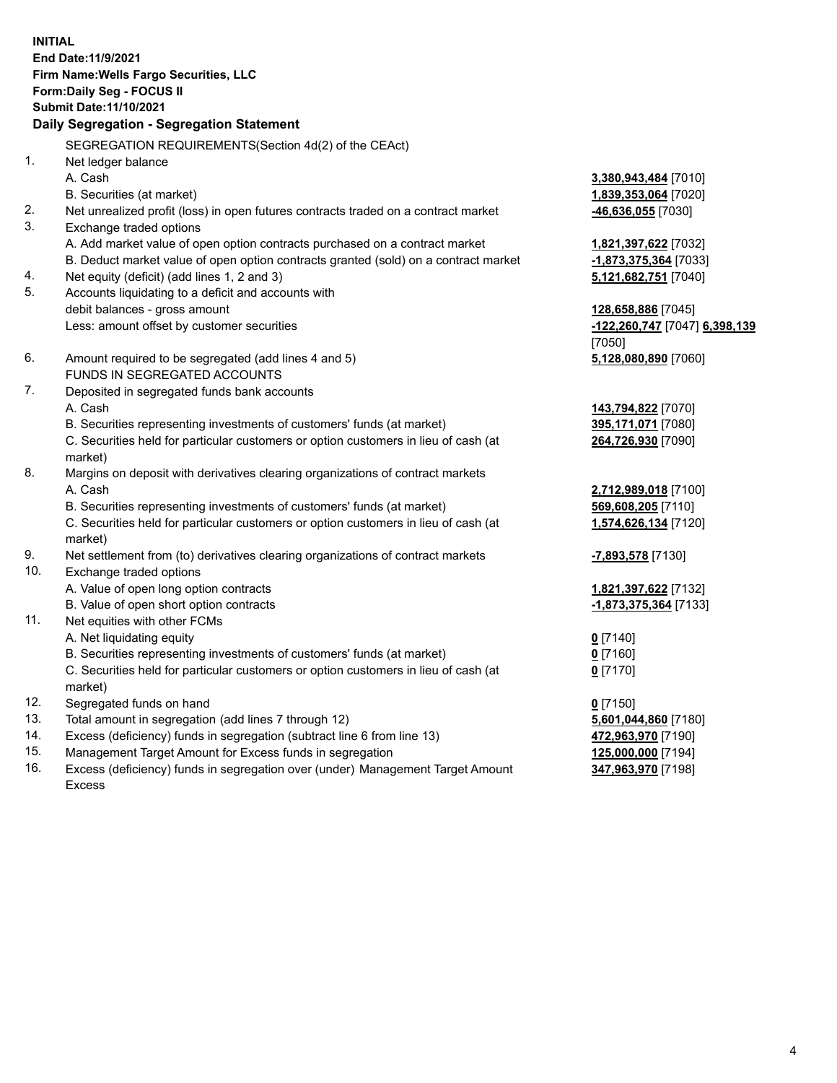**INITIAL End Date:11/9/2021 Firm Name:Wells Fargo Securities, LLC Form:Daily Seg - FOCUS II Submit Date:11/10/2021**

## **Daily Segregation - Segregation Statement**

SEGREGATION REQUIREMENTS(Section 4d(2) of the CEAct)

| $\mathbf{1}$ . | Net ledger balance                                                                  |                               |
|----------------|-------------------------------------------------------------------------------------|-------------------------------|
|                | A. Cash                                                                             | 3,380,943,484 [7010]          |
|                | B. Securities (at market)                                                           | 1,839,353,064 [7020]          |
| 2.             | Net unrealized profit (loss) in open futures contracts traded on a contract market  | -46,636,055 [7030]            |
| 3.             | Exchange traded options                                                             |                               |
|                | A. Add market value of open option contracts purchased on a contract market         | 1,821,397,622 [7032]          |
|                | B. Deduct market value of open option contracts granted (sold) on a contract market | -1,873,375,364 [7033]         |
| 4.             | Net equity (deficit) (add lines 1, 2 and 3)                                         | 5,121,682,751 [7040]          |
| 5.             | Accounts liquidating to a deficit and accounts with                                 |                               |
|                | debit balances - gross amount                                                       | 128,658,886 [7045]            |
|                | Less: amount offset by customer securities                                          | -122,260,747 [7047] 6,398,139 |
|                |                                                                                     | [7050]                        |
| 6.             | Amount required to be segregated (add lines 4 and 5)                                | 5,128,080,890 [7060]          |
|                | FUNDS IN SEGREGATED ACCOUNTS                                                        |                               |
| 7.             | Deposited in segregated funds bank accounts                                         |                               |
|                | A. Cash                                                                             | 143,794,822 [7070]            |
|                | B. Securities representing investments of customers' funds (at market)              | 395,171,071 [7080]            |
|                | C. Securities held for particular customers or option customers in lieu of cash (at | 264,726,930 [7090]            |
|                | market)                                                                             |                               |
| 8.             | Margins on deposit with derivatives clearing organizations of contract markets      |                               |
|                | A. Cash                                                                             | 2,712,989,018 [7100]          |
|                | B. Securities representing investments of customers' funds (at market)              | 569,608,205 [7110]            |
|                | C. Securities held for particular customers or option customers in lieu of cash (at | 1,574,626,134 [7120]          |
|                | market)                                                                             |                               |
| 9.             | Net settlement from (to) derivatives clearing organizations of contract markets     | -7,893,578 [7130]             |
| 10.            | Exchange traded options                                                             |                               |
|                | A. Value of open long option contracts                                              | 1,821,397,622 [7132]          |
|                | B. Value of open short option contracts                                             | -1,873,375,364 [7133]         |
| 11.            | Net equities with other FCMs                                                        |                               |
|                | A. Net liquidating equity                                                           | $0$ [7140]                    |
|                | B. Securities representing investments of customers' funds (at market)              | $0$ [7160]                    |
|                | C. Securities held for particular customers or option customers in lieu of cash (at | $0$ [7170]                    |
|                | market)                                                                             |                               |
| 12.            | Segregated funds on hand                                                            | $0$ [7150]                    |
| 13.            | Total amount in segregation (add lines 7 through 12)                                | 5,601,044,860 [7180]          |
| 14.            | Excess (deficiency) funds in segregation (subtract line 6 from line 13)             | 472,963,970 [7190]            |
| 15.            | Management Target Amount for Excess funds in segregation                            | 125,000,000 [7194]            |
| 16.            | Excess (deficiency) funds in segregation over (under) Management Target Amount      | 347,963,970 [7198]            |
|                | <b>Excess</b>                                                                       |                               |
|                |                                                                                     |                               |